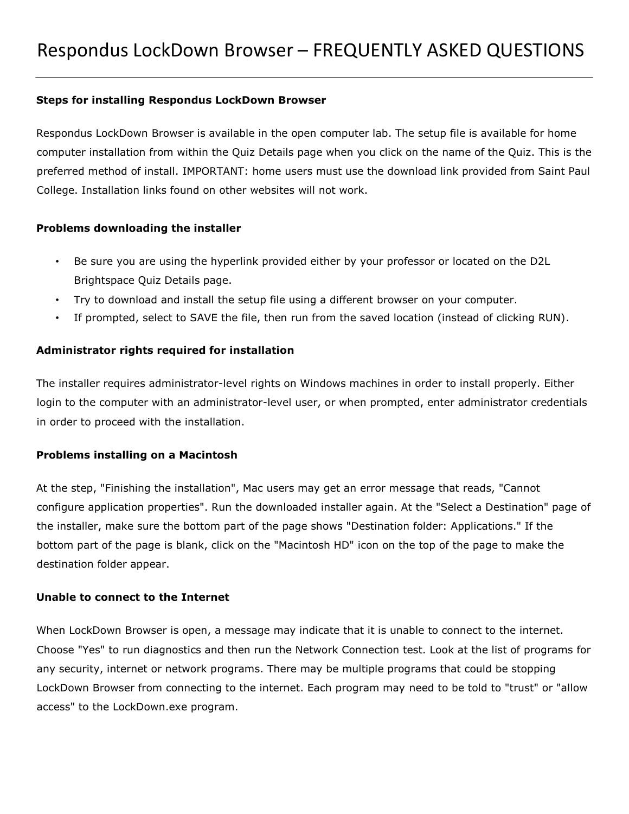### **Steps for installing Respondus LockDown Browser**

Respondus LockDown Browser is available in the open computer lab. The setup file is available for home computer installation from within the Quiz Details page when you click on the name of the Quiz. This is the preferred method of install. IMPORTANT: home users must use the download link provided from Saint Paul College. Installation links found on other websites will not work.

### **Problems downloading the installer**

- Be sure you are using the hyperlink provided either by your professor or located on the D2L Brightspace Quiz Details page.
- Try to download and install the setup file using a different browser on your computer.
- If prompted, select to SAVE the file, then run from the saved location (instead of clicking RUN).

# **Administrator rights required for installation**

The installer requires administrator-level rights on Windows machines in order to install properly. Either login to the computer with an administrator-level user, or when prompted, enter administrator credentials in order to proceed with the installation.

# **Problems installing on a Macintosh**

At the step, "Finishing the installation", Mac users may get an error message that reads, "Cannot configure application properties". Run the downloaded installer again. At the "Select a Destination" page of the installer, make sure the bottom part of the page shows "Destination folder: Applications." If the bottom part of the page is blank, click on the "Macintosh HD" icon on the top of the page to make the destination folder appear.

# **Unable to connect to the Internet**

When LockDown Browser is open, a message may indicate that it is unable to connect to the internet. Choose "Yes" to run diagnostics and then run the Network Connection test. Look at the list of programs for any security, internet or network programs. There may be multiple programs that could be stopping LockDown Browser from connecting to the internet. Each program may need to be told to "trust" or "allow access" to the LockDown.exe program.